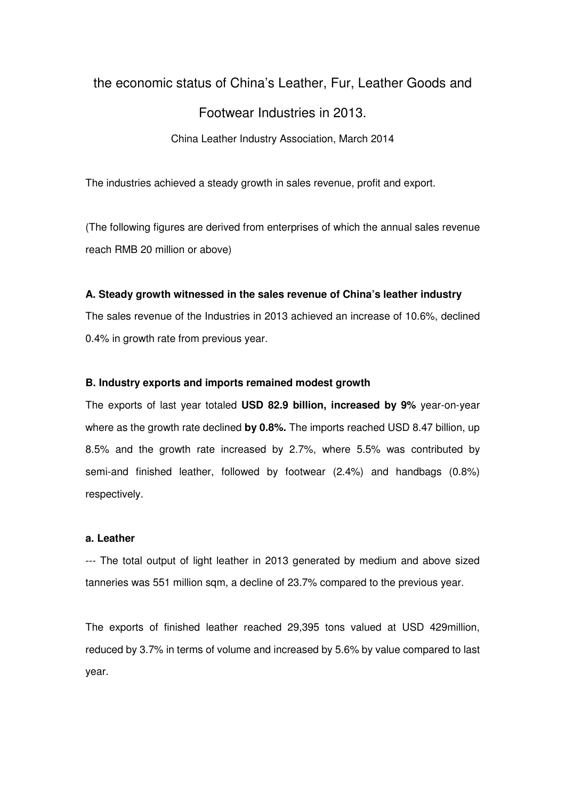# the economic status of China's Leather, Fur, Leather Goods and Footwear Industries in 2013. China Leather Industry Association, March 2014

The industries achieved a steady growth in sales revenue, profit and export.

(The following figures are derived from enterprises of which the annual sales revenue reach RMB 20 million or above)

# **A. Steady growth witnessed in the sales revenue of China's leather industry**

The sales revenue of the Industries in 2013 achieved an increase of 10.6%, declined 0.4% in growth rate from previous year.

# **B. Industry exports and imports remained modest growth**

The exports of last year totaled **USD 82.9 billion, increased by 9%** year-on-year where as the growth rate declined **by 0.8%.** The imports reached USD 8.47 billion, up 8.5% and the growth rate increased by 2.7%, where 5.5% was contributed by semi-and finished leather, followed by footwear (2.4%) and handbags (0.8%) respectively.

## **a. Leather**

--- The total output of light leather in 2013 generated by medium and above sized tanneries was 551 million sqm, a decline of 23.7% compared to the previous year.

The exports of finished leather reached 29,395 tons valued at USD 429million, reduced by 3.7% in terms of volume and increased by 5.6% by value compared to last year.